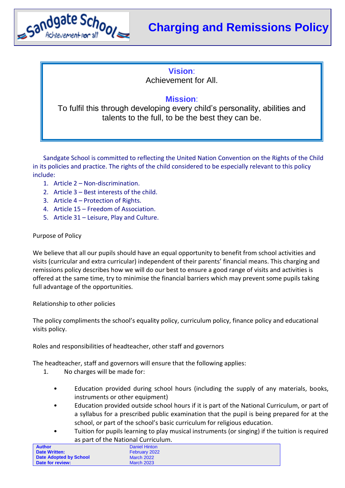

## **Vision**:

Achievement for All.

## **Mission**:

To fulfil this through developing every child's personality, abilities and talents to the full, to be the best they can be.

Sandgate School is committed to reflecting the United Nation Convention on the Rights of the Child in its policies and practice. The rights of the child considered to be especially relevant to this policy include:

- 1. Article 2 Non-discrimination.
- 2. Article 3 Best interests of the child.
- 3. Article 4 Protection of Rights.
- 4. Article 15 Freedom of Association.
- 5. Article 31 Leisure, Play and Culture.

## Purpose of Policy

We believe that all our pupils should have an equal opportunity to benefit from school activities and visits (curricular and extra curricular) independent of their parents' financial means. This charging and remissions policy describes how we will do our best to ensure a good range of visits and activities is offered at the same time, try to minimise the financial barriers which may prevent some pupils taking full advantage of the opportunities.

Relationship to other policies

The policy compliments the school's equality policy, curriculum policy, finance policy and educational visits policy.

Roles and responsibilities of headteacher, other staff and governors

The headteacher, staff and governors will ensure that the following applies:

- 1. No charges will be made for:
	- Education provided during school hours (including the supply of any materials, books, instruments or other equipment)
	- Education provided outside school hours if it is part of the National Curriculum, or part of a syllabus for a prescribed public examination that the pupil is being prepared for at the school, or part of the school's basic curriculum for religious education.
	- Tuition for pupils learning to play musical instruments (or singing) if the tuition is required as part of the National Curriculum.

| <b>Author</b>          | Daniel Hinton     |  |
|------------------------|-------------------|--|
| <b>Date Written:</b>   | February 2022     |  |
| Date Adopted by School | <b>March 2022</b> |  |
| Date for review:       | <b>March 2023</b> |  |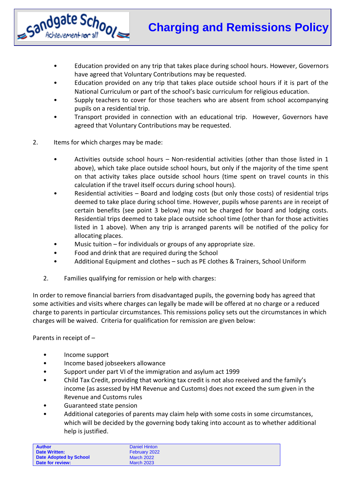- Education provided on any trip that takes place during school hours. However, Governors have agreed that Voluntary Contributions may be requested.
- Education provided on any trip that takes place outside school hours if it is part of the National Curriculum or part of the school's basic curriculum for religious education.
- Supply teachers to cover for those teachers who are absent from school accompanying pupils on a residential trip.
- Transport provided in connection with an educational trip. However, Governors have agreed that Voluntary Contributions may be requested.
- 2. Items for which charges may be made:

Sandgate School Achievement ror all

- Activities outside school hours Non-residential activities (other than those listed in 1 above), which take place outside school hours, but only if the majority of the time spent on that activity takes place outside school hours (time spent on travel counts in this calculation if the travel itself occurs during school hours).
- Residential activities Board and lodging costs (but only those costs) of residential trips deemed to take place during school time. However, pupils whose parents are in receipt of certain benefits (see point 3 below) may not be charged for board and lodging costs. Residential trips deemed to take place outside school time (other than for those activities listed in 1 above). When any trip is arranged parents will be notified of the policy for allocating places.
- Music tuition  $-$  for individuals or groups of any appropriate size.
- Food and drink that are required during the School
- Additional Equipment and clothes such as PE clothes & Trainers, School Uniform
- 2. Families qualifying for remission or help with charges:

In order to remove financial barriers from disadvantaged pupils, the governing body has agreed that some activities and visits where charges can legally be made will be offered at no charge or a reduced charge to parents in particular circumstances. This remissions policy sets out the circumstances in which charges will be waived. Criteria for qualification for remission are given below:

Parents in receipt of –

- Income support
- Income based jobseekers allowance
- Support under part VI of the immigration and asylum act 1999
- Child Tax Credit, providing that working tax credit is not also received and the family's income (as assessed by HM Revenue and Customs) does not exceed the sum given in the Revenue and Customs rules
- Guaranteed state pension
- Additional categories of parents may claim help with some costs in some circumstances, which will be decided by the governing body taking into account as to whether additional help is justified.

| <b>Author</b>          | Daniel Hinton     |
|------------------------|-------------------|
| <b>Date Written:</b>   | February 2022     |
| Date Adopted by School | <b>March 2022</b> |
| Date for review:       | <b>March 2023</b> |